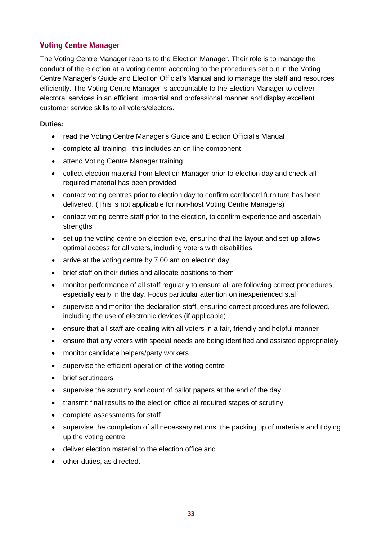## **Voting Centre Manager**

The Voting Centre Manager reports to the Election Manager. Their role is to manage the conduct of the election at a voting centre according to the procedures set out in the Voting Centre Manager's Guide and Election Official's Manual and to manage the staff and resources efficiently. The Voting Centre Manager is accountable to the Election Manager to deliver electoral services in an efficient, impartial and professional manner and display excellent customer service skills to all voters/electors.

## **Duties:**

- read the Voting Centre Manager's Guide and Election Official's Manual
- complete all training this includes an on-line component
- attend Voting Centre Manager training
- collect election material from Election Manager prior to election day and check all required material has been provided
- contact voting centres prior to election day to confirm cardboard furniture has been delivered. (This is not applicable for non-host Voting Centre Managers)
- contact voting centre staff prior to the election, to confirm experience and ascertain strengths
- set up the voting centre on election eve, ensuring that the layout and set-up allows optimal access for all voters, including voters with disabilities
- arrive at the voting centre by 7.00 am on election day
- brief staff on their duties and allocate positions to them
- monitor performance of all staff regularly to ensure all are following correct procedures, especially early in the day. Focus particular attention on inexperienced staff
- supervise and monitor the declaration staff, ensuring correct procedures are followed, including the use of electronic devices (if applicable)
- ensure that all staff are dealing with all voters in a fair, friendly and helpful manner
- ensure that any voters with special needs are being identified and assisted appropriately
- monitor candidate helpers/party workers
- supervise the efficient operation of the voting centre
- brief scrutineers
- supervise the scrutiny and count of ballot papers at the end of the day
- transmit final results to the election office at required stages of scrutiny
- complete assessments for staff
- supervise the completion of all necessary returns, the packing up of materials and tidying up the voting centre
- deliver election material to the election office and
- other duties, as directed.